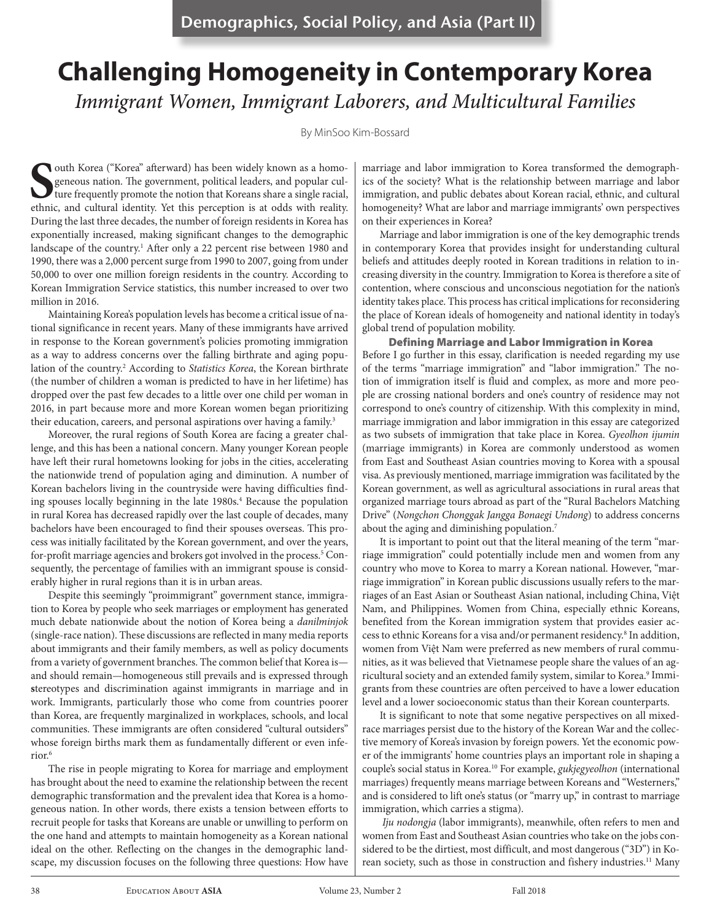# **Challenging Homogeneity in Contemporary Korea** *Immigrant Women, Immigrant Laborers, and Multicultural Families*

By MinSoo Kim-Bossard

**S**such Korea ("Korea" afterward) has been widely known as a homogeneous nation. The government, political leaders, and popular culture frequently promote the notion that Koreans share a single racial, ethnic, and cultura geneous nation. The government, political leaders, and popular culture frequently promote the notion that Koreans share a single racial, ethnic, and cultural identity. Yet this perception is at odds with reality. During the last three decades, the number of foreign residents in Korea has exponentially increased, making significant changes to the demographic landscape of the country.<sup>1</sup> After only a 22 percent rise between 1980 and 1990, there was a 2,000 percent surge from 1990 to 2007, going from under 50,000 to over one million foreign residents in the country. According to Korean Immigration Service statistics, this number increased to over two million in 2016.

Maintaining Korea's population levels has become a critical issue of national significance in recent years. Many of these immigrants have arrived in response to the Korean government's policies promoting immigration as a way to address concerns over the falling birthrate and aging population of the country.<sup>2</sup> According to Statistics Korea, the Korean birthrate (the number of children a woman is predicted to have in her lifetime) has dropped over the past few decades to a little over one child per woman in 2016, in part because more and more Korean women began prioritizing their education, careers, and personal aspirations over having a family.<sup>3</sup>

Moreover, the rural regions of South Korea are facing a greater challenge, and this has been a national concern. Many younger Korean people have left their rural hometowns looking for jobs in the cities, accelerating the nationwide trend of population aging and diminution. A number of Korean bachelors living in the countryside were having difficulties finding spouses locally beginning in the late 1980s.<sup>4</sup> Because the population in rural Korea has decreased rapidly over the last couple of decades, many bachelors have been encouraged to find their spouses overseas. This process was initially facilitated by the Korean government, and over the years, for-profit marriage agencies and brokers got involved in the process.<sup>5</sup> Consequently, the percentage of families with an immigrant spouse is considerably higher in rural regions than it is in urban areas.

Despite this seemingly "proimmigrant" government stance, immigration to Korea by people who seek marriages or employment has generated much debate nationwide about the notion of Korea being a *danilminjok* (single-race nation). These discussions are reflected in many media reports about immigrants and their family members, as well as policy documents from a variety of government branches. The common belief that Korea is and should remain—homogeneous still prevails and is expressed through **s**tereotypes and discrimination against immigrants in marriage and in work. Immigrants, particularly those who come from countries poorer than Korea, are frequently marginalized in workplaces, schools, and local communities. These immigrants are often considered "cultural outsiders" whose foreign births mark them as fundamentally different or even inferior.6

The rise in people migrating to Korea for marriage and employment has brought about the need to examine the relationship between the recent demographic transformation and the prevalent idea that Korea is a homogeneous nation. In other words, there exists a tension between efforts to recruit people for tasks that Koreans are unable or unwilling to perform on the one hand and attempts to maintain homogeneity as a Korean national ideal on the other. Reflecting on the changes in the demographic landscape, my discussion focuses on the following three questions: How have marriage and labor immigration to Korea transformed the demographics of the society? What is the relationship between marriage and labor immigration, and public debates about Korean racial, ethnic, and cultural homogeneity? What are labor and marriage immigrants' own perspectives on their experiences in Korea?

Marriage and labor immigration is one of the key demographic trends in contemporary Korea that provides insight for understanding cultural beliefs and attitudes deeply rooted in Korean traditions in relation to increasing diversity in the country. Immigration to Korea is therefore a site of contention, where conscious and unconscious negotiation for the nation's identity takes place. This process has critical implications for reconsidering the place of Korean ideals of homogeneity and national identity in today's global trend of population mobility.

Defining Marriage and Labor Immigration in Korea Before I go further in this essay, clarification is needed regarding my use of the terms "marriage immigration" and "labor immigration." The notion of immigration itself is fluid and complex, as more and more people are crossing national borders and one's country of residence may not correspond to one's country of citizenship. With this complexity in mind, marriage immigration and labor immigration in this essay are categorized as two subsets of immigration that take place in Korea. *Gyeolhon ijumin* (marriage immigrants) in Korea are commonly understood as women from East and Southeast Asian countries moving to Korea with a spousal visa. As previously mentioned, marriage immigration was facilitated by the Korean government, as well as agricultural associations in rural areas that organized marriage tours abroad as part of the "Rural Bachelors Matching Drive" (*Nongchon Chonggak Jangga Bonaegi Undong*) to address concerns about the aging and diminishing population.<sup>7</sup>

It is important to point out that the literal meaning of the term "marriage immigration" could potentially include men and women from any country who move to Korea to marry a Korean national. However, "marriage immigration" in Korean public discussions usually refers to the marriages of an East Asian or Southeast Asian national, including China, Việt Nam, and Philippines. Women from China, especially ethnic Koreans, benefited from the Korean immigration system that provides easier access to ethnic Koreans for a visa and/or permanent residency.<sup>8</sup> In addition, women from Việt Nam were preferred as new members of rural communities, as it was believed that Vietnamese people share the values of an agricultural society and an extended family system, similar to Korea.<sup>9</sup> Immigrants from these countries are often perceived to have a lower education level and a lower socioeconomic status than their Korean counterparts.

It is significant to note that some negative perspectives on all mixedrace marriages persist due to the history of the Korean War and the collective memory of Korea's invasion by foreign powers. Yet the economic power of the immigrants' home countries plays an important role in shaping a couple's social status in Korea.10 For example, *gukjegyeolhon* (international marriages) frequently means marriage between Koreans and "Westerners," and is considered to lift one's status (or "marry up," in contrast to marriage immigration, which carries a stigma).

*Iju nodongja* (labor immigrants), meanwhile, often refers to men and women from East and Southeast Asian countries who take on the jobs considered to be the dirtiest, most difficult, and most dangerous ("3D") in Korean society, such as those in construction and fishery industries.<sup>11</sup> Many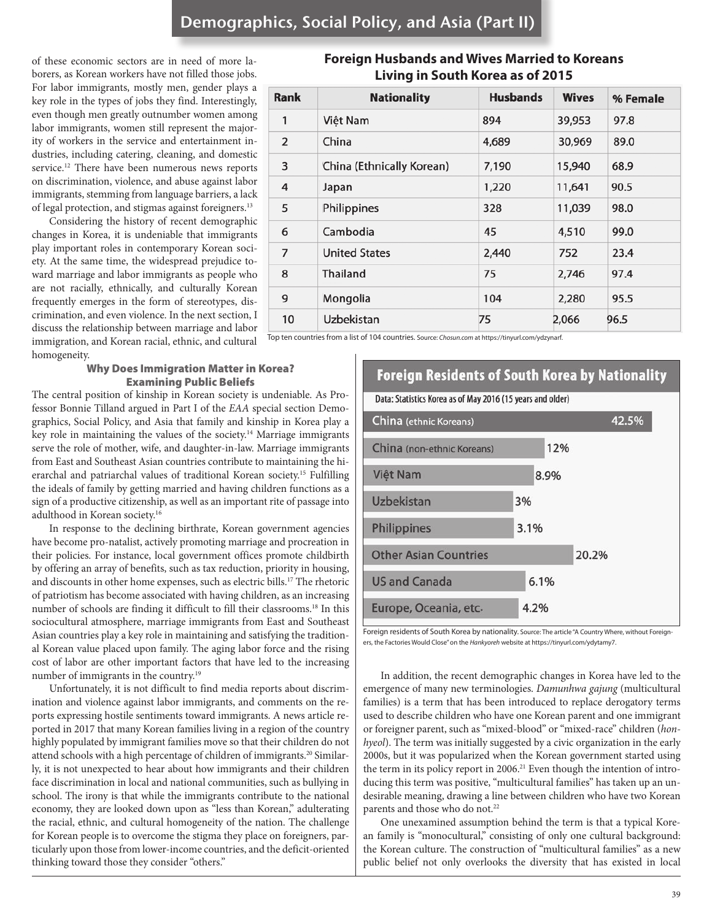of these economic sectors are in need of more laborers, as Korean workers have not filled those jobs. For labor immigrants, mostly men, gender plays a key role in the types of jobs they find. Interestingly, even though men greatly outnumber women among labor immigrants, women still represent the majority of workers in the service and entertainment industries, including catering, cleaning, and domestic service.12 There have been numerous news reports on discrimination, violence, and abuse against labor immigrants, stemming from language barriers, a lack of legal protection, and stigmas against foreigners.13

Considering the history of recent demographic changes in Korea, it is undeniable that immigrants play important roles in contemporary Korean society. At the same time, the widespread prejudice toward marriage and labor immigrants as people who are not racially, ethnically, and culturally Korean frequently emerges in the form of stereotypes, discrimination, and even violence. In the next section, I discuss the relationship between marriage and labor immigration, and Korean racial, ethnic, and cultural homogeneity.

### Why Does Immigration Matter in Korea? Examining Public Beliefs

The central position of kinship in Korean society is undeniable. As Professor Bonnie Tilland argued in Part I of the *EAA* special section Demographics, Social Policy, and Asia that family and kinship in Korea play a key role in maintaining the values of the society.14 Marriage immigrants serve the role of mother, wife, and daughter-in-law. Marriage immigrants from East and Southeast Asian countries contribute to maintaining the hierarchal and patriarchal values of traditional Korean society.15 Fulfilling the ideals of family by getting married and having children functions as a sign of a productive citizenship, as well as an important rite of passage into adulthood in Korean society.16

In response to the declining birthrate, Korean government agencies have become pro-natalist, actively promoting marriage and procreation in their policies. For instance, local government offices promote childbirth by offering an array of benefits, such as tax reduction, priority in housing, and discounts in other home expenses, such as electric bills.17 The rhetoric of patriotism has become associated with having children, as an increasing number of schools are finding it difficult to fill their classrooms.18 In this sociocultural atmosphere, marriage immigrants from East and Southeast Asian countries play a key role in maintaining and satisfying the traditional Korean value placed upon family. The aging labor force and the rising cost of labor are other important factors that have led to the increasing number of immigrants in the country.<sup>19</sup>

Unfortunately, it is not difficult to find media reports about discrimination and violence against labor immigrants, and comments on the reports expressing hostile sentiments toward immigrants. A news article reported in 2017 that many Korean families living in a region of the country highly populated by immigrant families move so that their children do not attend schools with a high percentage of children of immigrants.<sup>20</sup> Similarly, it is not unexpected to hear about how immigrants and their children face discrimination in local and national communities, such as bullying in school. The irony is that while the immigrants contribute to the national economy, they are looked down upon as "less than Korean," adulterating the racial, ethnic, and cultural homogeneity of the nation. The challenge for Korean people is to overcome the stigma they place on foreigners, particularly upon those from lower-income countries, and the deficit-oriented thinking toward those they consider "others."

### **Foreign Husbands and Wives Married to Koreans Living in South Korea as of 2015**

| <b>Rank</b>    | <b>Nationality</b>        | <b>Husbands</b> | <b>Wives</b> | % Female |
|----------------|---------------------------|-----------------|--------------|----------|
| 1              | Việt Nam                  | 894             | 39,953       | 97.8     |
| 2              | China                     | 4,689           | 30,969       | 89.0     |
| 3              | China (Ethnically Korean) | 7,190           | 15,940       | 68.9     |
| 4              | Japan                     | 1,220           | 11,641       | 90.5     |
| 5              | Philippines               | 328             | 11,039       | 98.0     |
| 6              | Cambodia                  | 45              | 4,510        | 99.0     |
| $\overline{7}$ | <b>United States</b>      | 2,440           | 752          | 23.4     |
| 8              | Thailand                  | 75              | 2,746        | 97.4     |
| 9              | Mongolia                  | 104             | 2,280        | 95.5     |
| 10             | Uzbekistan                | 75              | 2,066        | 96.5     |

Top ten countries from a list of 104 countries. Source: *Chosun.com* at https://tinyurl.com/ydzynarf.



Foreign residents of South Korea by nationality. Source: The article "A Country Where, without Foreigners, the Factories Would Close" on the *Hankyoreh* website at https://tinyurl.com/ydytamy7.

In addition, the recent demographic changes in Korea have led to the emergence of many new terminologies. *Damunhwa gajung* (multicultural families) is a term that has been introduced to replace derogatory terms used to describe children who have one Korean parent and one immigrant or foreigner parent, such as "mixed-blood" or "mixed-race" children (*honhyeol*). The term was initially suggested by a civic organization in the early 2000s, but it was popularized when the Korean government started using the term in its policy report in 2006.<sup>21</sup> Even though the intention of introducing this term was positive, "multicultural families" has taken up an undesirable meaning, drawing a line between children who have two Korean parents and those who do not.<sup>22</sup>

One unexamined assumption behind the term is that a typical Korean family is "monocultural," consisting of only one cultural background: the Korean culture. The construction of "multicultural families" as a new public belief not only overlooks the diversity that has existed in local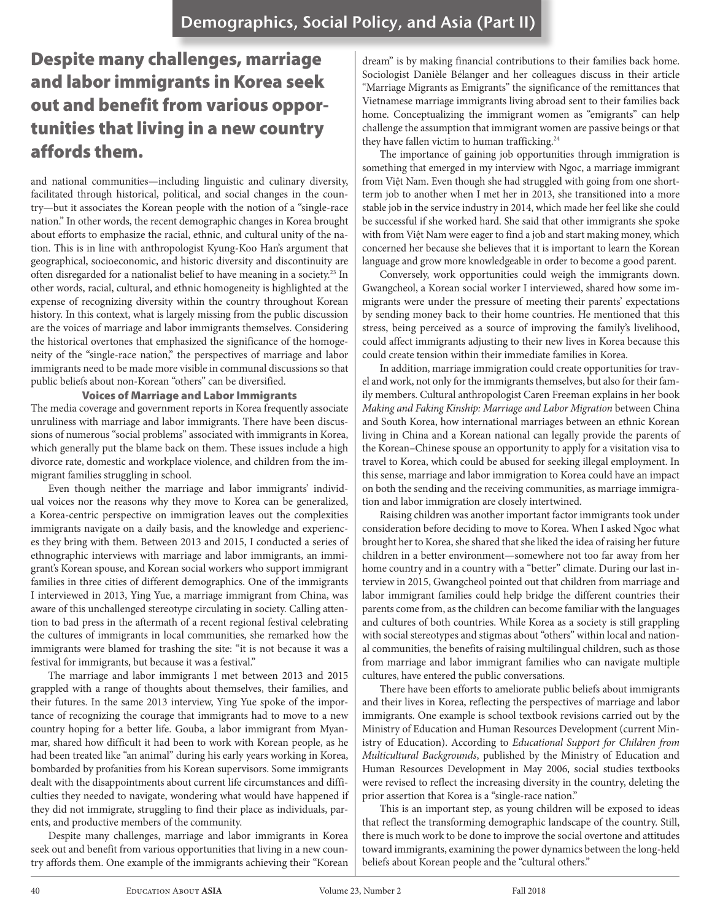## Despite many challenges, marriage and labor immigrants in Korea seek out and benefit from various opportunities that living in a new country affords them.

and national communities—including linguistic and culinary diversity, facilitated through historical, political, and social changes in the country—but it associates the Korean people with the notion of a "single-race nation." In other words, the recent demographic changes in Korea brought about efforts to emphasize the racial, ethnic, and cultural unity of the nation. This is in line with anthropologist Kyung-Koo Han's argument that geographical, socioeconomic, and historic diversity and discontinuity are often disregarded for a nationalist belief to have meaning in a society.<sup>23</sup> In other words, racial, cultural, and ethnic homogeneity is highlighted at the expense of recognizing diversity within the country throughout Korean history. In this context, what is largely missing from the public discussion are the voices of marriage and labor immigrants themselves. Considering the historical overtones that emphasized the significance of the homogeneity of the "single-race nation," the perspectives of marriage and labor immigrants need to be made more visible in communal discussions so that public beliefs about non-Korean "others" can be diversified.

### Voices of Marriage and Labor Immigrants

The media coverage and government reports in Korea frequently associate unruliness with marriage and labor immigrants. There have been discussions of numerous "social problems" associated with immigrants in Korea, which generally put the blame back on them. These issues include a high divorce rate, domestic and workplace violence, and children from the immigrant families struggling in school.

Even though neither the marriage and labor immigrants' individual voices nor the reasons why they move to Korea can be generalized, a Korea-centric perspective on immigration leaves out the complexities immigrants navigate on a daily basis, and the knowledge and experiences they bring with them. Between 2013 and 2015, I conducted a series of ethnographic interviews with marriage and labor immigrants, an immigrant's Korean spouse, and Korean social workers who support immigrant families in three cities of different demographics. One of the immigrants I interviewed in 2013, Ying Yue, a marriage immigrant from China, was aware of this unchallenged stereotype circulating in society. Calling attention to bad press in the aftermath of a recent regional festival celebrating the cultures of immigrants in local communities, she remarked how the immigrants were blamed for trashing the site: "it is not because it was a festival for immigrants, but because it was a festival."

The marriage and labor immigrants I met between 2013 and 2015 grappled with a range of thoughts about themselves, their families, and their futures. In the same 2013 interview, Ying Yue spoke of the importance of recognizing the courage that immigrants had to move to a new country hoping for a better life. Gouba, a labor immigrant from Myanmar, shared how difficult it had been to work with Korean people, as he had been treated like "an animal" during his early years working in Korea, bombarded by profanities from his Korean supervisors. Some immigrants dealt with the disappointments about current life circumstances and difficulties they needed to navigate, wondering what would have happened if they did not immigrate, struggling to find their place as individuals, parents, and productive members of the community.

Despite many challenges, marriage and labor immigrants in Korea seek out and benefit from various opportunities that living in a new country affords them. One example of the immigrants achieving their "Korean

dream" is by making financial contributions to their families back home. Sociologist Danièle Bélanger and her colleagues discuss in their article "Marriage Migrants as Emigrants" the significance of the remittances that Vietnamese marriage immigrants living abroad sent to their families back home. Conceptualizing the immigrant women as "emigrants" can help challenge the assumption that immigrant women are passive beings or that they have fallen victim to human trafficking.<sup>24</sup>

The importance of gaining job opportunities through immigration is something that emerged in my interview with Ngoc, a marriage immigrant from Việt Nam. Even though she had struggled with going from one shortterm job to another when I met her in 2013, she transitioned into a more stable job in the service industry in 2014, which made her feel like she could be successful if she worked hard. She said that other immigrants she spoke with from Việt Nam were eager to find a job and start making money, which concerned her because she believes that it is important to learn the Korean language and grow more knowledgeable in order to become a good parent.

Conversely, work opportunities could weigh the immigrants down. Gwangcheol, a Korean social worker I interviewed, shared how some immigrants were under the pressure of meeting their parents' expectations by sending money back to their home countries. He mentioned that this stress, being perceived as a source of improving the family's livelihood, could affect immigrants adjusting to their new lives in Korea because this could create tension within their immediate families in Korea.

In addition, marriage immigration could create opportunities for travel and work, not only for the immigrants themselves, but also for their family members. Cultural anthropologist Caren Freeman explains in her book *Making and Faking Kinship: Marriage and Labor Migration* between China and South Korea, how international marriages between an ethnic Korean living in China and a Korean national can legally provide the parents of the Korean–Chinese spouse an opportunity to apply for a visitation visa to travel to Korea, which could be abused for seeking illegal employment. In this sense, marriage and labor immigration to Korea could have an impact on both the sending and the receiving communities, as marriage immigration and labor immigration are closely intertwined.

Raising children was another important factor immigrants took under consideration before deciding to move to Korea. When I asked Ngoc what brought her to Korea, she shared that she liked the idea of raising her future children in a better environment—somewhere not too far away from her home country and in a country with a "better" climate. During our last interview in 2015, Gwangcheol pointed out that children from marriage and labor immigrant families could help bridge the different countries their parents come from, as the children can become familiar with the languages and cultures of both countries. While Korea as a society is still grappling with social stereotypes and stigmas about "others" within local and national communities, the benefits of raising multilingual children, such as those from marriage and labor immigrant families who can navigate multiple cultures, have entered the public conversations.

There have been efforts to ameliorate public beliefs about immigrants and their lives in Korea, reflecting the perspectives of marriage and labor immigrants. One example is school textbook revisions carried out by the Ministry of Education and Human Resources Development (current Ministry of Education). According to *Educational Support for Children from Multicultural Backgrounds*, published by the Ministry of Education and Human Resources Development in May 2006, social studies textbooks were revised to reflect the increasing diversity in the country, deleting the prior assertion that Korea is a "single-race nation."

This is an important step, as young children will be exposed to ideas that reflect the transforming demographic landscape of the country. Still, there is much work to be done to improve the social overtone and attitudes toward immigrants, examining the power dynamics between the long-held beliefs about Korean people and the "cultural others."